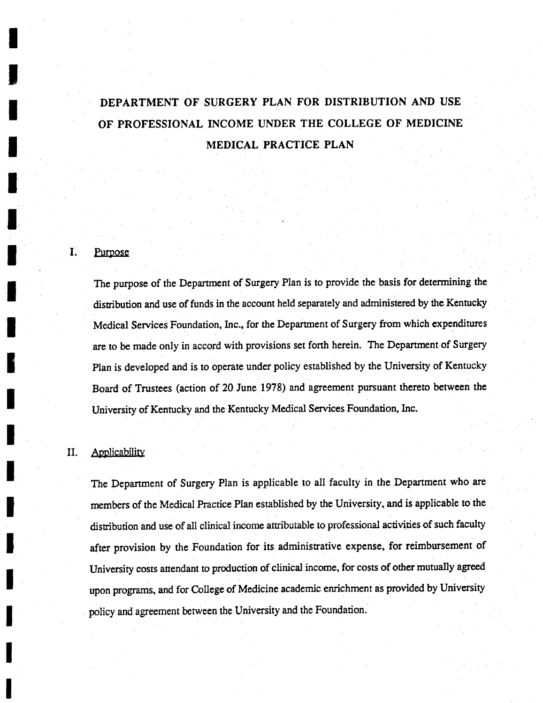# DEPARTMENT OF SURGERY PLAN FOR DISTRIBUTION AND USE OF PROFESSIONAL INCOME UNDER THE COLLEGE OF MEDICINE MEDICAL PRACTICE PLAN

#### I. Purpose

The purpose of the Department of Surgery Plan is to provide the basis for determining the distribution and use of funds in the account held separately and administered by the Kentucky Medical Services Foundation, Inc., for the Department of Surgery from which expenditures are to be made only in accord with provisions set forth herein. The Department of Surgery Plan is developed and is to operate under policy established by the University of Kentucky Board of Trustees (action of 20 June 1978) and agreement pursuant thereto between the University of Kentucky and the Kentucky Medical Services Foundation, Inc.

### II. Applicability

The Department of Surgery Plan is applicable to all faculty in the Department who are members of the Medical Practice Plan established by the University, and is applicable to the distribution and use of all clinical income attributable to professional activities of such faculty after provision by the Foundation for its administrative expense, for reimbursement of University costs attendant to production of clinical income, for costs of other mutually agreed upon programs, and for College of Medicine academic enrichment as provided by University policy and agreement between the University and the Foundation.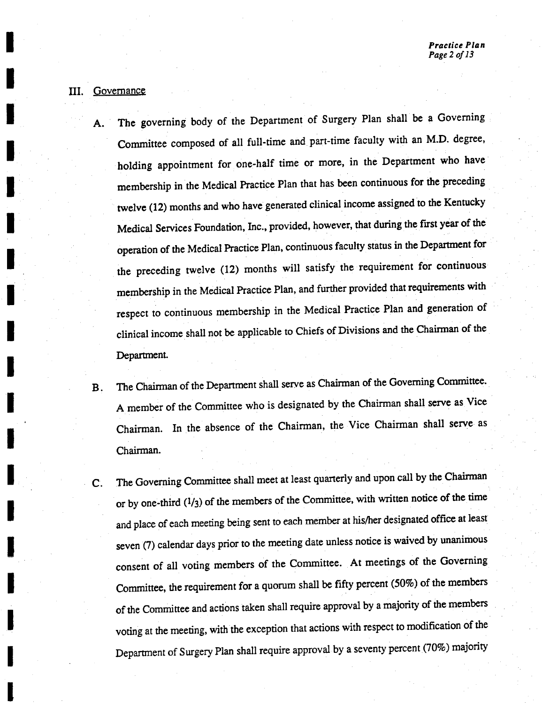### III. Governanc

- A. The governing body of the Department of Surgery Plan shall be a Governing Committee composed of all full-time and part-time faculty with an M.D. degree holding appointment for one-half time or more, in the Department who have membership in the Medical Practice Plan that has been continuous for the preceding twelve (12) months and who have generated clinical income assigned to the Kentucky Medical Services Foundation, Inc., provided, however, that during the first year of the operation of the Medical Practice Plan, continuous faculty status in the Department for the preceding twelve (12) months will satisfy the requirement for continuous membership in the Medical Practice Plan, and further provided that requirements with respect to continuous membership in the Medical Practice Plan and generation of clinical income shall not be applicable to Chiefs of Divisions and the Chairman of the Department.
- B. The Chairman of the Department shall serve as Chairman of the Governing Committee. member of the Committee who is designated by the Chairman shall serve as Vice Chairman. In the absence of the Chairman the Vice Chairman shall serve as Chairman.
- C. The Governing Committee shall meet at least quarterly and upon call by the Chairman or by one-third  $(1/3)$  of the members of the Committee, with written notice of the time and place of each meeting being sent to each member at his/her designated office at least seven (7) calendar days prior to the meeting date unless notice is waived by unanimous consent of all voting members of the Committee. At meetings of the Governing Committee, the requirement for a quorum shall be fifty percent (50%) of the members of the Committee and actions taken shall require approval by a majority of the members voting at the meeting, with the exception that actions with respect to modification of the Department of Surgery Plan shall require approval by a seventy percent (70%) majority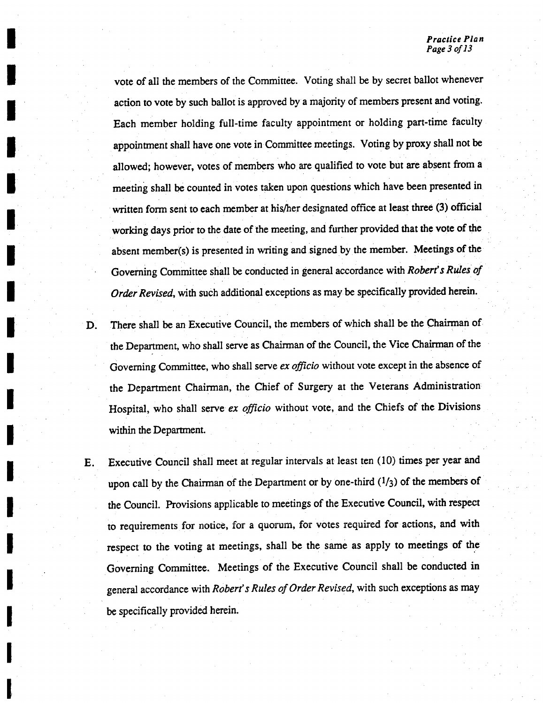vote of all the members of the Committee. Voting shall be by secret ballot whenever action to vote by such ballot is approved by a majority of members present and voting. Each member holding full-time faculty appointment or holding part-time faculty appointment shall have one vote in Committee meetings. Voting by proxy shall not be allowed; however, votes of members who are qualified to vote but are absent from a meeting shall be counted in votes taken upon questions which have been presented in written form sent to each member at his/her designated office at least three (3) official working days prior to the date of the meeting, and further provided that the vote of the absent member(s) is presented in writing and signed by the member. Meetings of the Governing Committee shall be conducted in general accordance with Robert's Rules of Order Revised, with such additional exceptions as may be specifically provided herein.

- D. There shall be an Executive Council, the members of which shall be the Chairman of the Department, who shall serve as Chairman of the Council, the Vice Chairman of the Governing Committee, who shall serve ex officio without vote except in the absence of the Department Chairman, the Chief of Surgery at the Veterans Administration Hospital, who shall serve ex officio without vote, and the Chiefs of the Divisions within the Department.
- E. Executive Council shall meet at regular intervals at least ten (10) times per year and upon call by the Chairman of the Department or by one-third  $(1/3)$  of the members of the Council. Provisions applicable to meetings of the Executive Council, with respect to requirements for notice, for a quorum, for votes required for actions, and with respect to the voting at meetings, shall be the same as apply to meetings of the Governing Committee. Meetings of the Executive Council shall be conducted in general accordance with Robert's Rules of Order Revised, with such exceptions as may be specifically provided herein.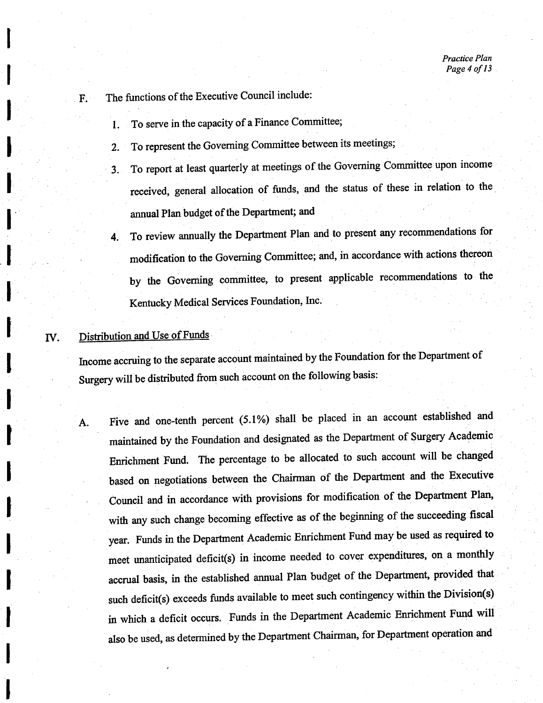- $F.$  The functions of the Executive Council include:
	- 1. To serve in the capacity of a Finance Committee;
	- 2. To represent the Governing Committee between its meetings;
	- 3. To report at least quarterly at meetings of the Governing Committee upon income received, general allocation of funds, and the status of these in relation to the annual Plan budget of the Department; and
	- 4. To review annually the Department Plan and to present any recommendations for modification to the Governing Committee; and, in accordance with actions thereon by the Governing committee, to present applicable recommendations to the Kentucky Medical Services Foundation, Inc.

### IV. Distribution and Use of Funds

Income accruing to the separate account maintained by the Foundation for the Department of Surgery will be distributed from such account on the following basis:

A. Five and one-tenth percent (5.1%) shall be placed in an account established and maintained by the Foundation and designated as the Department of Surgery Academic Enrichment Fund. The percentage to be allocated to such account will be changed based on negotiations between the Chairman of the Department and the Executive Council and in accordance with provisions for modification of the Department Plan, with any such change becoming effective as of the beginning of the succeeding fiscal year. Funds in the Department Academic Enrichment Fund may be used as required to meet unanticipated deficit(s) in income needed to cover expenditures, on a monthly accrual basis, in the established annual Plan budget of the Department, provided that such deficit(s) exceeds funds available to meet such contingency within the Division(s) in which a deficit occurs. Funds in the Department Academic Enrichment Fund will also be used, as determined by the Department Chairman, for Department operation and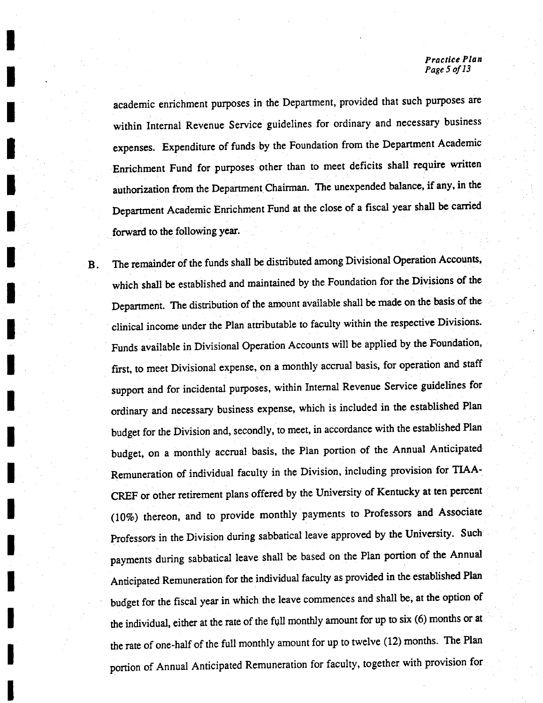#### Practice Plan Page 5 of 13

academic enrichment purposes in the Department, provided that such purposes are within Internal Revenue Service guidelines for ordinary and necessary business expenses. Expenditure of funds by the Foundation from the Department Academic Enrichment Fund for purposes other than to meet deficits shall require written authorization from the Department Chairman. The unexpended balance, if any, in the Department Academic Enrichment Fund at the close of a fiscal year shall be carried forward to the following year.

The remainder of the funds shall be distributed among Divisional Operation Accounts,  $\mathbf{B}$ . which shall be established and maintained by the Foundation for the Divisions of the Department. The distribution of the amount available shall be made on the basis of the clinical income under the Plan attributable to faculty within the respective Divisions. Funds available in Divisional Operation Accounts will be applied by the Foundation, first, to meet Divisional expense, on a monthly accrual basis, for operation and staff support and for incidental purposes, within Internal Revenue Service guidelines for ordinary and necessary business expense, which is included in the established Plan budget for the Division and, secondly, to meet, in accordance with the established Plan budget, on a monthly accrual basis, the Plan portion of the Annual Anticipated Remuneration of individual faculty in the Division including provision for TIAA CREF or other retirement plans offered by the University of Kentucky at ten percent (10%) thereon, and to provide monthly payments to Professors and Associate Professors in the Division during sabbatical leave approved by the University. Such payments during sabbatical leave shall be based on the Plan portion of the Annual Anticipated Remuneration for the individual faculty as provided in the established Plan budget for the fiscal year in which the leave commences and shall be, at the option of the individual, either at the rate of the full monthly amount for up to six (6) months or at the rate of one-half of the full monthly amount for up to twelve (12) months. The Plan portion of Annual Anticipated Remuneration for faculty, together with provision for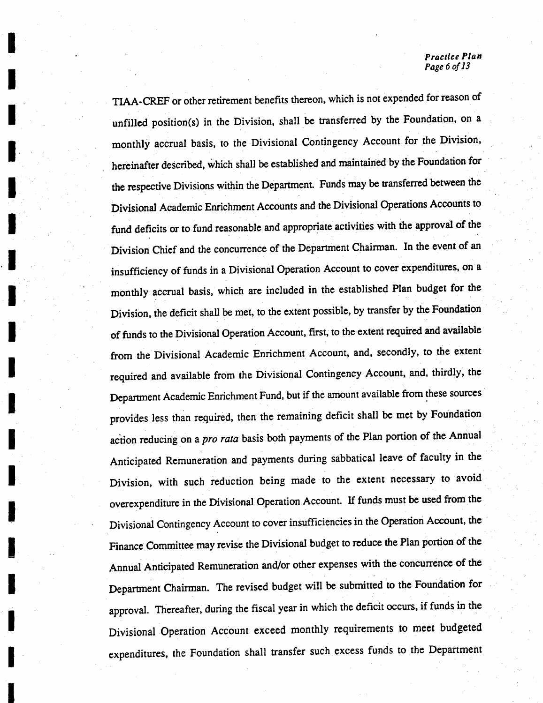Practice Plan Page 6 of 13

TIAA-CREF or other retirement benefits thereon, which is not expended for reason of unfilled position(s) in the Division, shall be transferred by the Foundation, on a monthly accrual basis, to the Divisional Contingency Account for the Division, hereinafter described, which shall be established and maintained by the Foundation for the respective Divisions within the Department. Funds may be transferred between the Divisional Academic Enrichment Accounts and the Divisional Operations Accounts to fund deficits or to fund reasonable and appropriate activities with the approval of the Division Chief and the concurrence of the Department Chairman. In the event of an insufficiency of funds in a Divisional Operation Account to cover expenditures, on a monthly accrual basis, which are included in the established Plan budget for the Division, the deficit shall be met, to the extent possible, by transfer by the Foundation of funds to the Divisional Operation Account, first, to the extent required and available from the Divisional Academic Enrichment Account, and, secondly, to the extent required and available from the Divisional Contingency Account, and, thirdly, the Department Academic Enrichment Fund, but if the amount available from these sources provides less than required, then the remaining deficit shall be met by Foundation action reducing on a *pro rata* basis both payments of the Plan portion of the Annual Anticipated Remuneration and payments during sabbatical leave of faculty in the Division, with such reduction being made to the extent necessary to avoid overexpenditure in the Divisional Operation Account. If funds must be used from the Divisional Contingency Account to cover insufficiencies in the Operation Account, the Finance Committee may revise the Divisional budget to reduce the Plan portion of the Annual Anticipated Remuneration and/or other expenses with the concurrence of the Department Chairman. The revised budget will be submitted to the Foundation for approval. Thereafter, during the fiscal year in which the deficit occurs, if funds in the Divisional Operation Account exceed monthly requirements to meet budgeted expenditures, the Foundation shall transfer such excess funds to the Department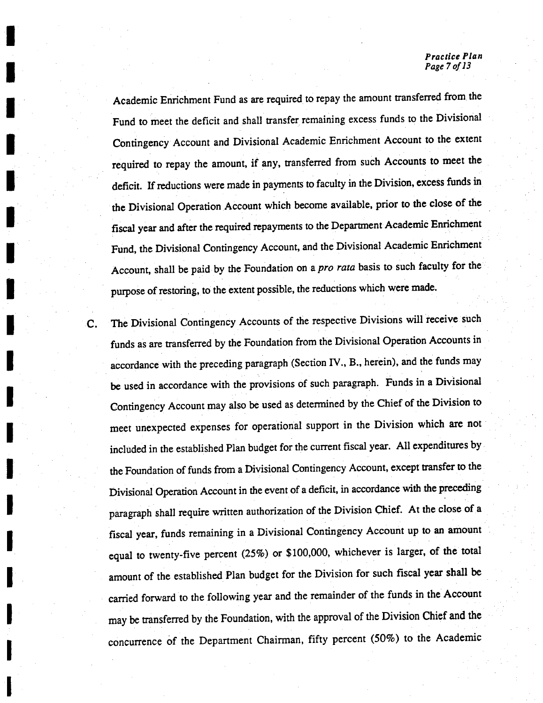#### Practice Plan Page 7 of 13

Academic Enrichment Fund as are required to repay the amount transferred from the Fund to meet the deficit and shall transfer remaining excess funds to the Divisional Contingency Account and Divisional Academic Enrichment Account to the extent required to repay the amount, if any, transferred from such Accounts to meet the deficit. If reductions were made in payments to faculty in the Division, excess funds in the Divisional Operation Account which become available, prior to the close of the fiscal year and after the required repayments to the Department Academic Enrichment Fund, the Divisional Contingency Account, and the Divisional Academic Enrichment Account, shall be paid by the Foundation on a *pro rata* basis to such faculty for the purpose of restoring, to the extent possible, the reductions which were made.

C. The Divisional Contingency Accounts of the respective Divisions will receive such funds as are transferred by the Foundation from the Divisional Operation Accounts in accordance with the preceding paragraph (Section IV., B., herein), and the funds may be used in accordance with the provisions of such paragraph. Funds in a Divisional Contingency Account may also be used as determined by the Chief of the Division to meet unexpected expenses for operational support in the Division which are not included in the established Plan budget for the current fiscal year. All expenditures by the Foundation of funds from a Divisional Contingency Account, except transfer to the Divisional Operation Account in the event of a deficit, in accordance with the preceding paragraph shall require written authorization of the Division Chief. At the close of a fiscal year, funds remaining in a Divisional Contingency Account up to an amount equal to twenty-five percent  $(25\%)$  or \$100,000, whichever is larger, of the total amount of the established Plan budget for the Division for such fiscal year shall be carried forward to the following year and the remainder of the funds in the Account may be transferred by the Foundation, with the approval of the Division Chief and the concurrence of the Department Chairman, fifty percent (50%) to the Academic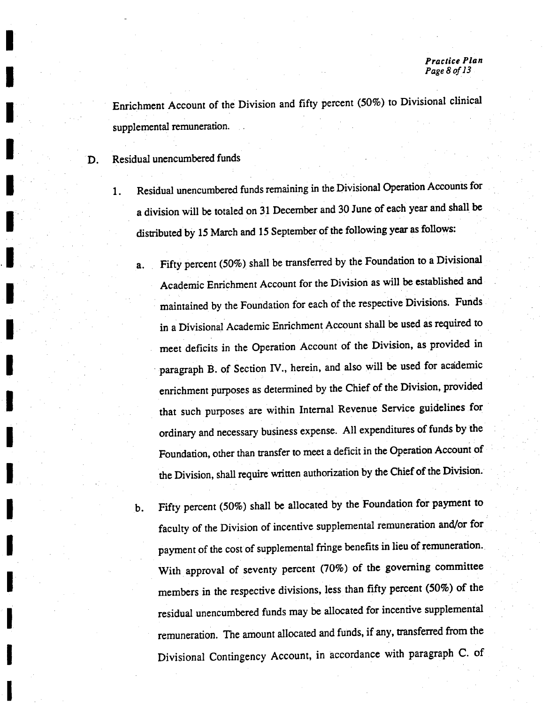Enrichment Account of the Division and fifty percent (50%) to Divisional clinical supplemental remuneration.

D. Residual unencumbered funds

- 1. Residual unencumbered funds remaining in the Divisional Operation Accounts for division will be totaled on <sup>31</sup> December and 30 June of each year and shall be distributed by 15 March and 15 September of the following year as follows:
	- Fifty percent (50%) shall be transferred by the Foundation to a Divisional  $a.$ Academic Enrichment Account for the Division as will be established and maintained by the Foundation for each of the respective Divisions. Funds in a Divisional Academic Enrichment Account shall be used as required to meet deficits in the Operation Account of the Division, as provided in paragraph B. of Section IV., herein, and also will be used for academic enrichment purposes as determined by the Chief of the Division, provided that such purposes are within Internal Revenue Service guidelines for ordinary and necessary business expense. All expenditures of funds by the Foundation, other than transfer to meet a deficit in the Operation Account of the Division, shall require written authorization by the Chief of the Division.
	- b. Fifty percent (50%) shall be allocated by the Foundation for payment to faculty of the Division of incentive supplemental remuneration and/or for payment of the cost of supplemental fringe benefits in lieu of remuneration. With approval of seventy percent (70%) of the governing committee members in the respective divisions, less than fifty percent (50%) of the residual unencumbered funds may be allocated for incentive supplemental remuneration. The amount allocated and funds, if any, transferred from the Divisional Contingency Account, in accordance with paragraph C. of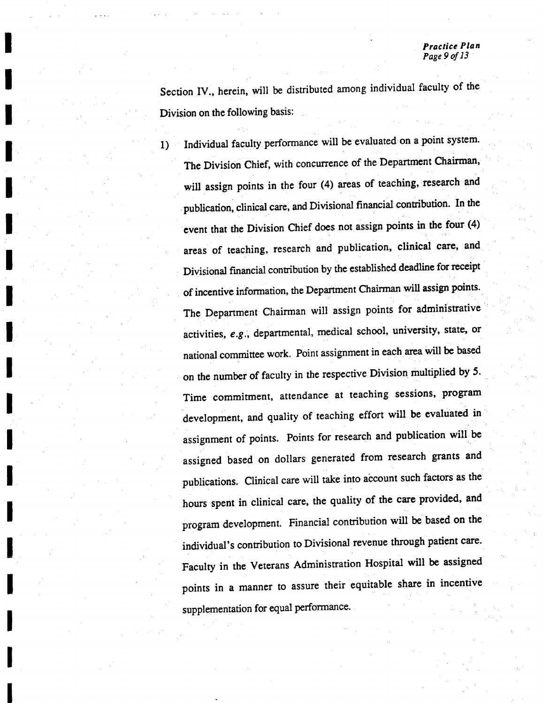Section IV., herein, will be distributed among individual faculty of the Division on the following basis:

 $1)$ 

Individual faculty performance will be evaluated on a point system. The Division Chief, with concurrence of the Department Chairman, will assign points in the four (4) areas of teaching, research and publication, clinical care, and Divisional financial contribution. In the event that the Division Chief does not assign points in the four  $(4)$ areas of teaching, research and publication, clinical care, and Divisional financial contribution by the established deadline forreceipt of incentive information, the Department Chairman will assign points. The Department Chairman will assign points for administrative activities,  $e.g.$ , departmental, medical school, university, state, or national committee work. Point assignment in each area will be based on the number of faculty in the respective Division multiplied by 5. Time commitment, attendance at teaching sessions, program development, and quality of teaching effort will be evaluated in assignment of points. Points for research and publication will be assigned based on dollars generated from research grants and publications. Clinical care will take into account such factors as the hours spent in clinical care, the quality of the care provided, and program development. Financial contribution will be based on the individual's contribution to Divisional revenue through patient care. Faculty in the Veterans Administration Hospital will be assigned points in a manner to assure their equitable share in incentive supplementation for equal performance.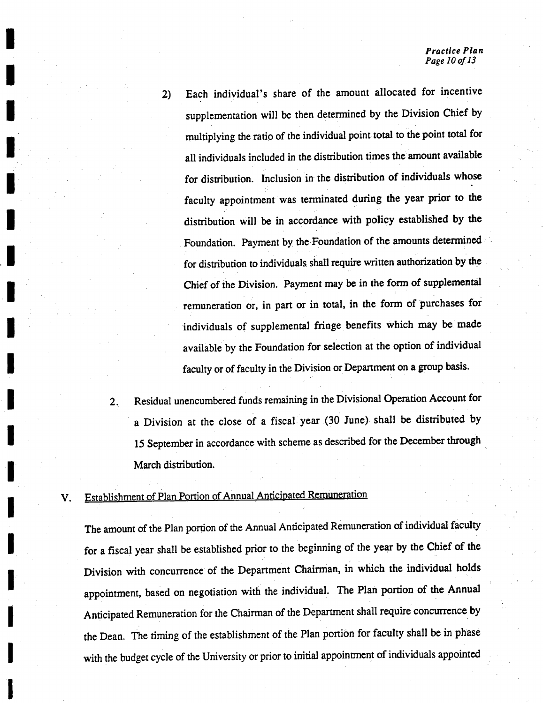Each individual's share of the amount allocated for incentive  $2)$ supplementation will be then determined by the Division Chief by multiplying the ratioof the individual point total to the point total for all individuals included in the distribution times the amount available for distribution. Inclusion in the distribution of individuals whose faculty appointment was terminated during the year prior to the distribution will be in accordance with policy established by the Foundation. Payment by the Foundation of the amounts determined for distribution to individuals shall require written authorization by the Chief of the Division. Payment may be in the form of supplemental remuneration or, in part or in total, in the form of purchases for individuals of supplemental fringe benefits which may be made available by the Foundation for selection at the option of individual faculty or of faculty in the Division or Department on group basis.

2. Residual unencumbered funds remaining in the Divisional Operation Account for a Division at the close of a fiscal year (30 June) shall be distributed by <sup>15</sup> September in accordance with scheme as described for the December through March distribution.

## V. Establishment of Plan Portion of Annual Anticipated Remuneration

The amount of the Plan portion of the Annual Anticipated Remuneration of individual faculty for a fiscal year shall be established prior to the beginning of the year by the Chief of the Division with concurrence of the Department Chairman, in which the individual holds appointment, based on negotiation with the individual. The Plan portion of the Annual Anticipated Remuneration for the Chairman of the Department shall require concurrence by the Dean. The timing of the establishment of the Plan portion for faculty shall be in phase with the budget cycle of the University or prior to initial appointment of individuals appointed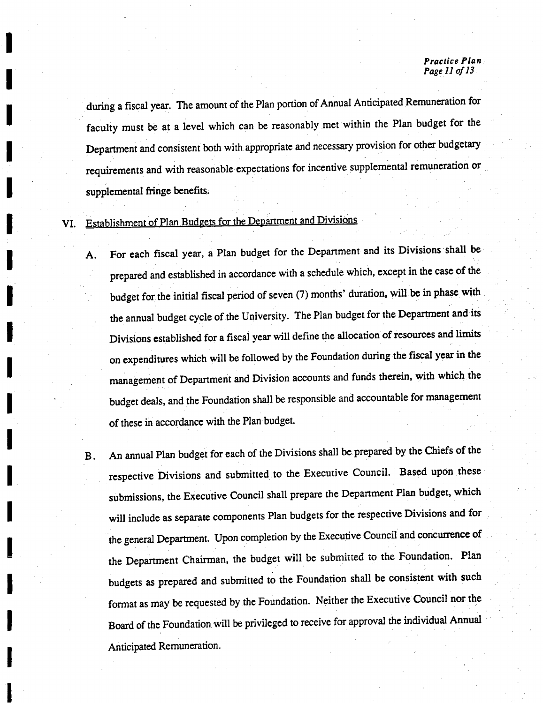#### Practice Plan Page 11 of 13

during a fiscal year. The amount of the Plan portion of Annual Anticipated Remuneration for faculty must be at a level which can be reasonably met within the Plan budget for the Department and consistent both with appropriate and necessary provision for other budgetary requirements and with reasonable expectations for incentive supplemental remuneration or supplemental fringe benefits.

VI. Establishment of Plan Budgets for the Department and Divisions

- A. For each fiscal year, a Plan budget for the Department and its Divisions shall be prepared and established in accordance with a schedule which, except in the case of the budget for the initial fiscal period of seven (7) months' duration, will be in phase with the annual budget cycle of the University. The Plan budget for the Department and its Divisions established for a fiscal year will define the allocation of resources and limits on expenditures which will be followed by the Foundation during the fiscal year in the management of Department and Division accounts and funds therein, with which the budget deals, and the Foundation shall be responsible and accountable for management of these in accordance with the Plan budget.
- B. An annual Plan budget for each of the Divisions shall be prepared by the Chiefs of the respective Divisions and submitted to the Executive Council. Based upon these submissions, the Executive Council shall prepare the Department Plan budget, which will include as separate components Plan budgets for the respective Divisions and for the general Department. Upon completion by the Executive Council and concurrence of the Department Chairman, the budget will be submitted to the Foundation. Plan budgets as prepared and submitted to the Foundation shall be consistent with such format as may be requested by the Foundation. Neither the Executive Council nor the Board of the Foundation will be privileged to receive for approval the individual Annual Anticipated Remuneration.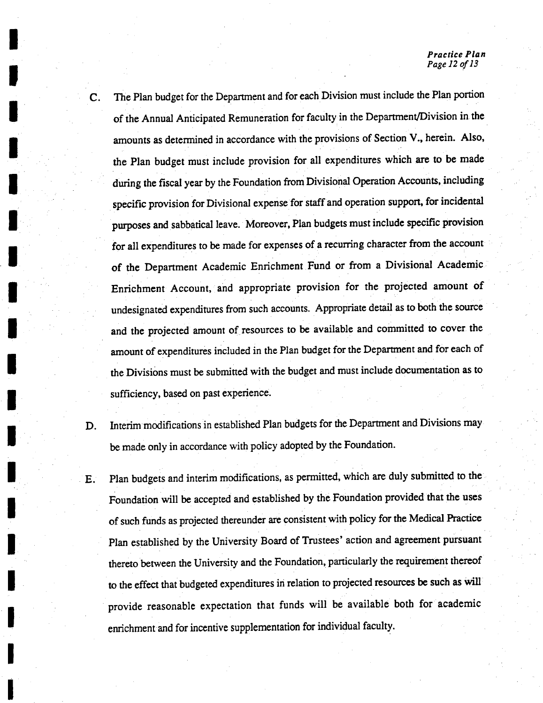- The Plan budget for the Department and for each Division must include the Plan portion of the Annual Anticipated Remuneration forfaculty in the Department/Division in the amounts as determined in accordance with the provisions of Section V., herein. Also, the Plan budget must include provision for all expenditures which are to be made during the fiscal year by the Foundation from Divisional Operation Accounts, including specific provision for Divisional expense for staff and operation support, for incidental purposes and sabbatical leave. Moreover, Plan budgets must include specific provision for all expenditures to be made for expenses of a recurring character from the account of the Department Academic Enrichment Fund or from a Divisional Academic Enrichment Account, and appropriate provision for the projected amount of undesignated expenditures from such accounts. Appropriate detail as to both the source and the projected amount of resources to be available and committed to cover the amount of expenditures included in the Plan budget for the Department and for each of the Divisions must be submitted with the budget and must include documentation as to sufficiency, based on past experience.
- 

C.

D. Interim modifications in established Plan budgets for the Department and Divisions may be made only in accordance with policy adopted by the Foundation.

E. Plan budgets and interim modifications, as permitted, which are duly submitted to the Foundation will be accepted and established by the Foundation provided that the uses of such funds as projected thereunder are consistent with policy for the Medical Practice Plan established by the University Board of Trustees' action and agreement pursuant thereto between the University and the Foundation, particularly the requirement thereof to the effect that budgeted expenditures in relation to projected resources be such as will provide reasonable expectation that funds will be available both for academic enrichment and for incentive supplementation for individual faculty.